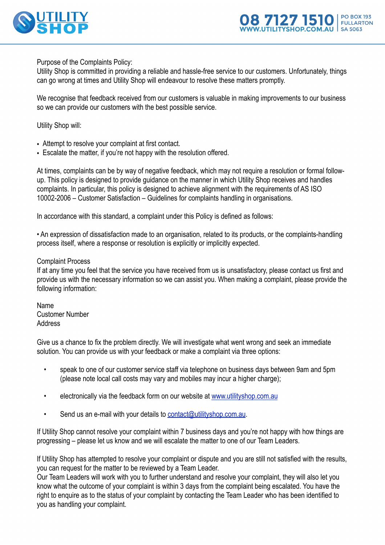



Purpose of the Complaints Policy:

Utility Shop is committed in providing a reliable and hassle-free service to our customers. Unfortunately, things can go wrong at times and Utility Shop will endeavour to resolve these matters promptly.

We recognise that feedback received from our customers is valuable in making improvements to our business so we can provide our customers with the best possible service.

Utility Shop will:

- Attempt to resolve your complaint at first contact.
- Escalate the matter, if you're not happy with the resolution offered.

At times, complaints can be by way of negative feedback, which may not require a resolution or formal followup. This policy is designed to provide guidance on the manner in which Utility Shop receives and handles complaints. In particular, this policy is designed to achieve alignment with the requirements of AS ISO 10002-2006 – Customer Satisfaction – Guidelines for complaints handling in organisations.

In accordance with this standard, a complaint under this Policy is defined as follows:

• An expression of dissatisfaction made to an organisation, related to its products, or the complaints-handling process itself, where a response or resolution is explicitly or implicitly expected.

## Complaint Process

If at any time you feel that the service you have received from us is unsatisfactory, please contact us first and provide us with the necessary information so we can assist you. When making a complaint, please provide the following information:

Name Customer Number Address

Give us a chance to fix the problem directly. We will investigate what went wrong and seek an immediate solution. You can provide us with your feedback or make a complaint via three options:

- speak to one of our customer service staff via telephone on business days between 9am and 5pm (please note local call costs may vary and mobiles m[ay incur a higher charge\)](http://www.utilityshop.com.au);
- electronically via the feedback form o[n our website at www.utilitysh](mailto:contact@utilityshop.com.au)op.com.au
- Send us an e-mail with your details to contact@utilityshop.com.au.

If Utility Shop cannot resolve your complaint within 7 business days and you're not happy with how things are progressing – please let us know and we will escalate the matter to one of our Team Leaders.

If Utility Shop has attempted to resolve your complaint or dispute and you are still not satisfied with the results, you can request for the matter to be reviewed by a Team Leader.

Our Team Leaders will work with you to further understand and resolve your complaint, they will also let you know what the outcome of your complaint is within 3 days from the complaint being escalated. You have the right to enquire as to the status of your complaint by contacting the Team Leader who has been identified to you as handling your complaint.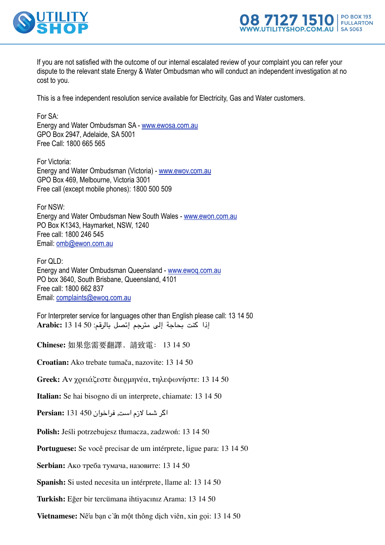



If you are not satisfied with the outcome of our internal escalated review of your complaint you can refer your dispute to the relevant state Energy & Water Ombudsman who will conduct an independent investigation at no cost to you.

This is a free independent resolution service available for Electricity, Gas and Water customers.

For SA: Energy and Water Ombudsman SA - [www.ewosa.com.au](http://www.ewosa.com.au/) GPO Box 2947, Adelaide, SA 5001 Free Call: 1800 665 565

For Victoria: Energy and Water Ombudsman (Victoria) - [www.ewov.com.au](http://www.ewov.com.au/) GPO Box 469, Melbourne, Victoria 3001 Free call (except mobile phones): 1800 500 509

For NSW: Energy and Water Ombudsman New South Wales - [www.ewon.com.au](http://www.ewon.com.au/) PO Box K1343, Haymarket, NSW, 1240 Free call: 1800 246 545 Email: [omb@ewon.com.au](mailto:omb@ewon.com.au)

For QLD: Energy and Water Ombudsman Queensland - [www.ewoq.com.au](http://www.ewoq.com.au/) PO box 3640, South Brisbane, Queensland, 4101 Free call: 1800 662 837 Email: [complaints@ewoq.com.au](mailto:complaints@ewoq.com.au)

For Interpreter service for languages other than English please call: 13 14 50 إذا كنت بحاجة إلى مترجم إتصل بالرقم: 50 14 13 **:Arabic**

**Chinese:** 如果您需要翻譯,請致電: 13 14 50

**Croatian:** Ako trebate tumača, nazovite: 13 14 50

**Greek:** Αν χρειάζεστε διερμηνέα, τηλεφωνήστε: 13 14 50

**Italian:** Se hai bisogno di un interprete, chiamate: 13 14 50

اگر شما لزم است, فراخوان 450 131 **:Persian**

**Polish:** Jeśli potrzebujesz tłumacza, zadzwoń: 13 14 50

**Portuguese:** Se você precisar de um intérprete, ligue para: 13 14 50

**Serbian:** Ако треба тумача, назовите: 13 14 50

**Spanish:** Si usted necesita un intérprete, llame al: 13 14 50

**Turkish:** Eğer bir tercümana ihtiyacınız Arama: 13 14 50

**Vietnamese:** Nếu bạn cần một thông dịch viên, xin gọi: 13 14 50